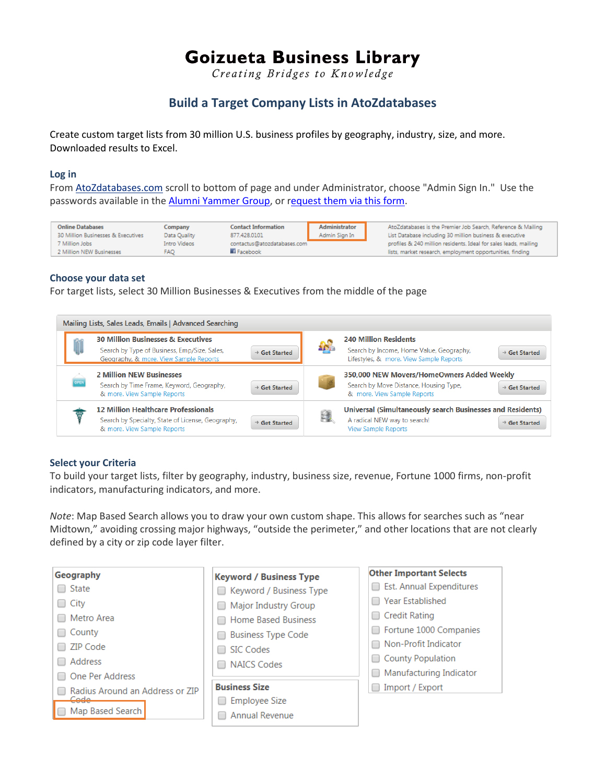# **Goizueta Business Library**

Creating Bridges to Knowledge

# **Build a Target Company Lists in AtoZdatabases**

Create custom target lists from 30 million U.S. business profiles by geography, industry, size, and more. Downloaded results to Excel.

#### **Log in**

From [AtoZdatabases.com](http://www.atozdatabases.com/) scroll to bottom of page and under Administrator, choose "Admin Sign In." Use the passwords available in th[e Alumni Yammer Group,](https://www.yammer.com/emoryalumni/) or [request them via this form.](https://business.library.emory.edu/alumni/ask-alumni-librarian.php)

| <b>Online Databases</b>            | Company      | <b>Contact Information</b>  | Administrator | AtoZdatabases is the Premier Job Search, Reference & Mailing     |
|------------------------------------|--------------|-----------------------------|---------------|------------------------------------------------------------------|
| 30 Million Businesses & Executives | Data Ouality | 877,428,0101                | Admin Sign In | List Database including 30 million business & executive          |
| 7 Million Jobs                     | Intro Videos | contactus@atozdatabases.com |               | profiles & 240 million residents. Ideal for sales leads, mailing |
| 2 Million NEW Businesses           | <b>FAO</b>   | <b>Ei</b> Facebook          |               | lists, market research, employment opportunities, finding        |

#### **Choose your data set**

For target lists, select 30 Million Businesses & Executives from the middle of the page



## **Select your Criteria**

To build your target lists, filter by geography, industry, business size, revenue, Fortune 1000 firms, non-profit indicators, manufacturing indicators, and more.

*Note*: Map Based Search allows you to draw your own custom shape. This allows for searches such as "near Midtown," avoiding crossing major highways, "outside the perimeter," and other locations that are not clearly defined by a city or zip code layer filter.